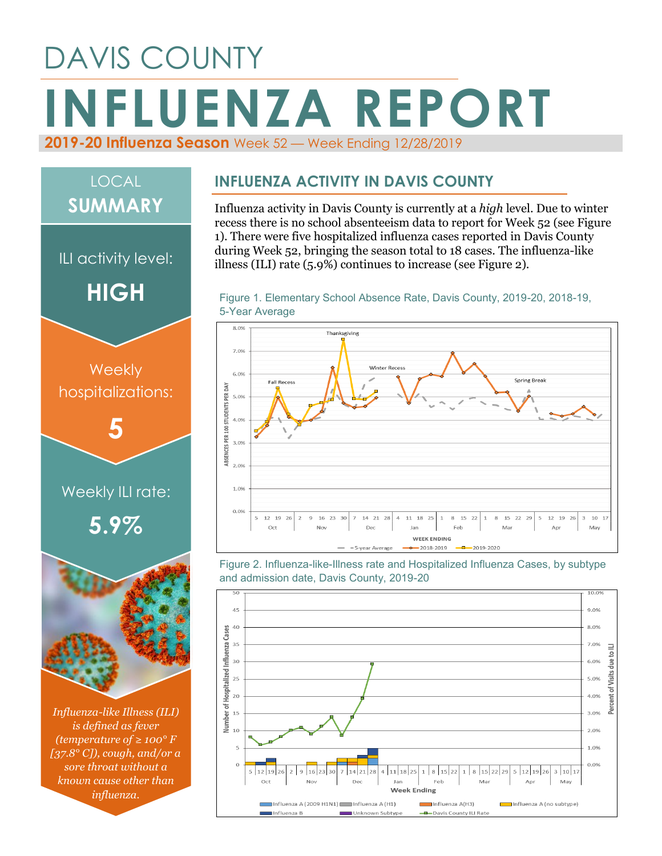## DAVIS COUNTY **INFLUENZA REPORT 2019-20 Influenza Season** Week 52 — Week Ending 12/28/2019

# *Influenza-like Illness (ILI) is defined as fever*  Weekly ILI rate: **5.9% Weekly** hospitalizations: **5** ILI activity level: **HIGH** LOCAL **SUMMARY**

*(temperature of ≥ 100° F [37.8° C]), cough, and/or a sore throat without a known cause other than influenza.*

#### **INFLUENZA ACTIVITY IN DAVIS COUNTY**

Influenza activity in Davis County is currently at a *high* level. Due to winter recess there is no school absenteeism data to report for Week 52 (see Figure 1). There were five hospitalized influenza cases reported in Davis County during Week 52, bringing the season total to 18 cases. The influenza-like illness (ILI) rate (5.9%) continues to increase (see Figure 2).





Figure 2. Influenza-like-Illness rate and Hospitalized Influenza Cases, by subtype and admission date, Davis County, 2019-20